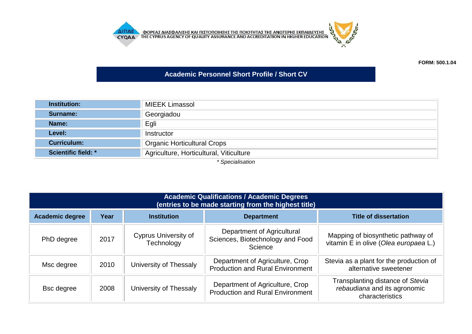

**FORM: 500.1.04**

## **Academic Personnel Short Profile / Short CV**

| <b>Institution:</b>        | <b>MIEEK Limassol</b>                   |  |  |
|----------------------------|-----------------------------------------|--|--|
| Surname:                   | Georgiadou                              |  |  |
| Name:                      | Egli                                    |  |  |
| Level:                     | Instructor                              |  |  |
| <b>Curriculum:</b>         | <b>Organic Horticultural Crops</b>      |  |  |
| <b>Scientific field: *</b> | Agriculture, Horticultural, Viticulture |  |  |
| $*$ Cnooioliaotion         |                                         |  |  |

*\* Specialisation*

| <b>Academic Qualifications / Academic Degrees</b><br>(entries to be made starting from the highest title) |      |                                           |                                                                            |                                                                                     |
|-----------------------------------------------------------------------------------------------------------|------|-------------------------------------------|----------------------------------------------------------------------------|-------------------------------------------------------------------------------------|
| <b>Academic degree</b>                                                                                    | Year | <b>Institution</b>                        | <b>Department</b>                                                          | <b>Title of dissertation</b>                                                        |
| PhD degree                                                                                                | 2017 | <b>Cyprus University of</b><br>Technology | Department of Agricultural<br>Sciences, Biotechnology and Food<br>Science  | Mapping of biosynthetic pathway of<br>vitamin E in olive (Olea europaea L.)         |
| Msc degree                                                                                                | 2010 | University of Thessaly                    | Department of Agriculture, Crop<br><b>Production and Rural Environment</b> | Stevia as a plant for the production of<br>alternative sweetener                    |
| <b>Bsc</b> degree                                                                                         | 2008 | University of Thessaly                    | Department of Agriculture, Crop<br><b>Production and Rural Environment</b> | Transplanting distance of Stevia<br>rebaudiana and its agronomic<br>characteristics |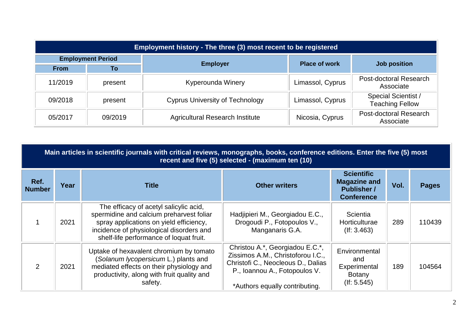| Employment history - The three (3) most recent to be registered |         |                                        |                      |                                               |  |  |
|-----------------------------------------------------------------|---------|----------------------------------------|----------------------|-----------------------------------------------|--|--|
| <b>Employment Period</b>                                        |         | <b>Employer</b>                        | <b>Place of work</b> | <b>Job position</b>                           |  |  |
| <b>From</b>                                                     | To      |                                        |                      |                                               |  |  |
| 11/2019                                                         | present | Kyperounda Winery                      | Limassol, Cyprus     | Post-doctoral Research<br>Associate           |  |  |
| 09/2018                                                         | present | <b>Cyprus University of Technology</b> | Limassol, Cyprus     | Special Scientist /<br><b>Teaching Fellow</b> |  |  |
| 05/2017                                                         | 09/2019 | <b>Agricultural Research Institute</b> | Nicosia, Cyprus      | Post-doctoral Research<br>Associate           |  |  |

|                       | Main articles in scientific journals with critical reviews, monographs, books, conference editions. Enter the five (5) most<br>recent and five (5) selected - (maximum ten (10) |                                                                                                                                                                                                                      |                                                                                                                                                                               |                                                                                     |      |              |
|-----------------------|---------------------------------------------------------------------------------------------------------------------------------------------------------------------------------|----------------------------------------------------------------------------------------------------------------------------------------------------------------------------------------------------------------------|-------------------------------------------------------------------------------------------------------------------------------------------------------------------------------|-------------------------------------------------------------------------------------|------|--------------|
| Ref.<br><b>Number</b> | Year                                                                                                                                                                            | <b>Title</b>                                                                                                                                                                                                         | <b>Other writers</b>                                                                                                                                                          | <b>Scientific</b><br><b>Magazine and</b><br><b>Publisher /</b><br><b>Conference</b> | Vol. | <b>Pages</b> |
|                       | 2021                                                                                                                                                                            | The efficacy of acetyl salicylic acid,<br>spermidine and calcium preharvest foliar<br>spray applications on yield efficiency,<br>incidence of physiological disorders and<br>shelf-life performance of loquat fruit. | Hadjipieri M., Georgiadou E.C.,<br>Drogoudi P., Fotopoulos V.,<br>Manganaris G.A.                                                                                             | Scientia<br>Horticulturae<br>$($ lf: 3.463 $)$                                      | 289  | 110439       |
| 2                     | 2021                                                                                                                                                                            | Uptake of hexavalent chromium by tomato<br>(Solanum lycopersicum L.) plants and<br>mediated effects on their physiology and<br>productivity, along with fruit quality and<br>safety.                                 | Christou A.*, Georgiadou E.C.*,<br>Zissimos A.M., Christoforou I.C.,<br>Christofi C., Neocleous D., Dalias<br>P., Ioannou A., Fotopoulos V.<br>*Authors equally contributing. | Environmental<br>and<br>Experimental<br><b>Botany</b><br>$($ lf: 5.545 $)$          | 189  | 104564       |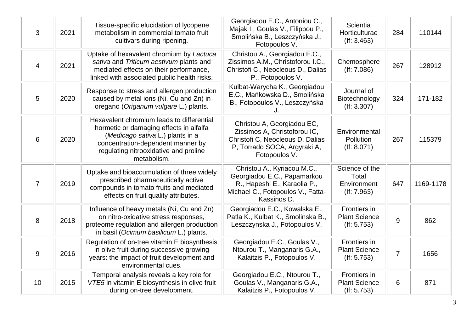| 3              | 2021 | Tissue-specific elucidation of lycopene<br>metabolism in commercial tomato fruit<br>cultivars during ripening.                                                                                                        | Georgiadou E.C., Antoniou C.,<br>Majak I., Goulas V., Filippou P.,<br>Smolińska B., Leszczyńska J.,<br>Fotopoulos V.                            | Scientia<br>Horticulturae<br>$($ If: 3.463 $)$               | 284            | 110144    |
|----------------|------|-----------------------------------------------------------------------------------------------------------------------------------------------------------------------------------------------------------------------|-------------------------------------------------------------------------------------------------------------------------------------------------|--------------------------------------------------------------|----------------|-----------|
| $\overline{4}$ | 2021 | Uptake of hexavalent chromium by Lactuca<br>sativa and Triticum aestivum plants and<br>mediated effects on their performance,<br>linked with associated public health risks.                                          | Christou A., Georgiadou E.C.,<br>Zissimos A.M., Christoforou I.C.,<br>Christofi C., Neocleous D., Dalias<br>P., Fotopoulos V.                   | Chemosphere<br>$($ f: 7.086 $)$                              | 267            | 128912    |
| 5              | 2020 | Response to stress and allergen production<br>caused by metal ions (Ni, Cu and Zn) in<br>oregano (Origanum vulgare L.) plants.                                                                                        | Kulbat-Warycha K., Georgiadou<br>E.C., Mańkowska D., Smolińska<br>B., Fotopoulos V., Leszczyńska                                                | Journal of<br>Biotechnology<br>(If: 3.307)                   | 324            | 171-182   |
| 6              | 2020 | Hexavalent chromium leads to differential<br>hormetic or damaging effects in alfalfa<br>(Medicago sativa L.) plants in a<br>concentration-dependent manner by<br>regulating nitrooxidative and proline<br>metabolism. | Christou A, Georgiadou EC,<br>Zissimos A, Christoforou IC,<br>Christofi C, Neocleous D, Dalias<br>P, Torrado SOCA, Argyraki A,<br>Fotopoulos V. | Environmental<br>Pollution<br>$($ f: 8.071 $)$               | 267            | 115379    |
| $\overline{7}$ | 2019 | Uptake and bioaccumulation of three widely<br>prescribed pharmaceutically active<br>compounds in tomato fruits and mediated<br>effects on fruit quality attributes.                                                   | Christou A., Kyriacou M.C.,<br>Georgiadou E.C., Papamarkou<br>R., Hapeshi E., Karaolia P.,<br>Michael C., Fotopoulos V., Fatta-<br>Kassinos D.  | Science of the<br><b>Total</b><br>Environment<br>(If: 7.963) | 647            | 1169-1178 |
| 8              | 2018 | Influence of heavy metals (Ni, Cu and Zn)<br>on nitro-oxidative stress responses,<br>proteome regulation and allergen production<br>in basil (Ocimum basilicum L.) plants.                                            | Georgiadou E.C., Kowalska E.,<br>Patla K., Kulbat K., Smolinska B.,<br>Leszczynska J., Fotopoulos V.                                            | Frontiers in<br><b>Plant Science</b><br>(If: 5.753)          | 9              | 862       |
| 9              | 2016 | Regulation of on-tree vitamin E biosynthesis<br>in olive fruit during successive growing<br>years: the impact of fruit development and<br>environmental cues.                                                         | Georgiadou E.C., Goulas V.,<br>Ntourou T., Manganaris G.A.,<br>Kalaitzis P., Fotopoulos V.                                                      | Frontiers in<br><b>Plant Science</b><br>(If: 5.753)          | $\overline{7}$ | 1656      |
| 10             | 2015 | Temporal analysis reveals a key role for<br>VTE5 in vitamin E biosynthesis in olive fruit<br>during on-tree development.                                                                                              | Georgiadou E.C., Ntourou T.,<br>Goulas V., Manganaris G.A.,<br>Kalaitzis P., Fotopoulos V.                                                      | Frontiers in<br><b>Plant Science</b><br>$($ f: 5.753 $)$     | 6              | 871       |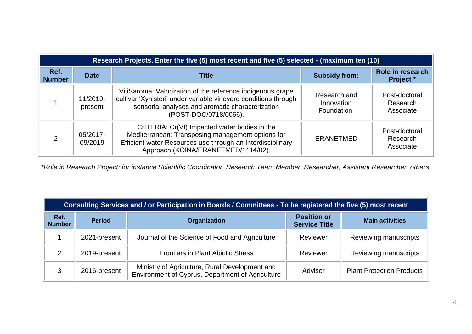| Research Projects. Enter the five (5) most recent and five (5) selected - (maximum ten (10) |                     |                                                                                                                                                                                                            |                                           |                                        |  |
|---------------------------------------------------------------------------------------------|---------------------|------------------------------------------------------------------------------------------------------------------------------------------------------------------------------------------------------------|-------------------------------------------|----------------------------------------|--|
| Ref.<br><b>Number</b>                                                                       | <b>Date</b>         | Title                                                                                                                                                                                                      | <b>Subsidy from:</b>                      | Role in research<br><b>Project</b> *   |  |
|                                                                                             | 11/2019-<br>present | VitiSaroma: Valorization of the reference indigenous grape<br>cultivar 'Xynisteri' under variable vineyard conditions through<br>sensorial analyses and aromatic characterization<br>(POST-DOC/0718/0066). | Research and<br>Innovation<br>Foundation. | Post-doctoral<br>Research<br>Associate |  |
| ⌒                                                                                           | 05/2017-<br>09/2019 | CrITERIA: Cr(VI) Impacted water bodies in the<br>Mediterranean: Transposing management options for<br>Efficient water Resources use through an Interdisciplinary<br>Approach (KOINA/ERANETMED/1114/02).    | ERANETMED                                 | Post-doctoral<br>Research<br>Associate |  |

*\*Role in Research Project: for instance Scientific Coordinator, Research Team Member, Researcher, Assistant Researcher, others.*

| Consulting Services and / or Participation in Boards / Committees - To be registered the five (5) most recent |               |                                                                                                    |                                            |                                  |  |  |
|---------------------------------------------------------------------------------------------------------------|---------------|----------------------------------------------------------------------------------------------------|--------------------------------------------|----------------------------------|--|--|
| Ref.<br><b>Number</b>                                                                                         | <b>Period</b> | Organization                                                                                       | <b>Position or</b><br><b>Service Title</b> | <b>Main activities</b>           |  |  |
|                                                                                                               | 2021-present  | Journal of the Science of Food and Agriculture                                                     | Reviewer                                   | Reviewing manuscripts            |  |  |
| $\mathcal{P}$                                                                                                 | 2019-present  | <b>Frontiers in Plant Abiotic Stress</b>                                                           | Reviewer                                   | Reviewing manuscripts            |  |  |
| 3                                                                                                             | 2016-present  | Ministry of Agriculture, Rural Development and<br>Environment of Cyprus, Department of Agriculture | Advisor                                    | <b>Plant Protection Products</b> |  |  |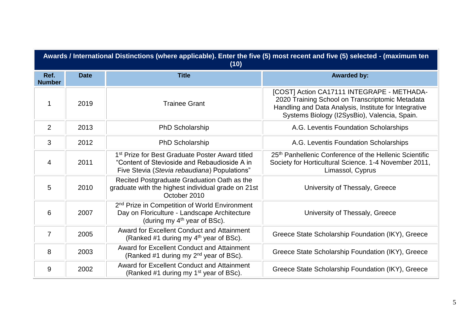| Awards / International Distinctions (where applicable). Enter the five (5) most recent and five (5) selected - (maximum ten<br>(10) |             |                                                                                                                                                             |                                                                                                                                                                                                        |  |
|-------------------------------------------------------------------------------------------------------------------------------------|-------------|-------------------------------------------------------------------------------------------------------------------------------------------------------------|--------------------------------------------------------------------------------------------------------------------------------------------------------------------------------------------------------|--|
| Ref.<br><b>Number</b>                                                                                                               | <b>Date</b> | <b>Title</b>                                                                                                                                                | <b>Awarded by:</b>                                                                                                                                                                                     |  |
|                                                                                                                                     | 2019        | <b>Trainee Grant</b>                                                                                                                                        | [COST] Action CA17111 INTEGRAPE - METHADA-<br>2020 Training School on Transcriptomic Metadata<br>Handling and Data Analysis, Institute for Integrative<br>Systems Biology (I2SysBio), Valencia, Spain. |  |
| 2                                                                                                                                   | 2013        | <b>PhD Scholarship</b>                                                                                                                                      | A.G. Leventis Foundation Scholarships                                                                                                                                                                  |  |
| 3                                                                                                                                   | 2012        | <b>PhD Scholarship</b>                                                                                                                                      | A.G. Leventis Foundation Scholarships                                                                                                                                                                  |  |
| 4                                                                                                                                   | 2011        | 1 <sup>st</sup> Prize for Best Graduate Poster Award titled<br>"Content of Stevioside and Rebaudioside A in<br>Five Stevia (Stevia rebaudiana) Populations" | 25th Panhellenic Conference of the Hellenic Scientific<br>Society for Horticultural Science. 1-4 November 2011,<br>Limassol, Cyprus                                                                    |  |
| 5                                                                                                                                   | 2010        | Recited Postgraduate Graduation Oath as the<br>graduate with the highest individual grade on 21st<br>October 2010                                           | University of Thessaly, Greece                                                                                                                                                                         |  |
| 6                                                                                                                                   | 2007        | 2 <sup>nd</sup> Prize in Competition of World Environment<br>Day on Floriculture - Landscape Architecture<br>(during my $4th$ year of BSc).                 | University of Thessaly, Greece                                                                                                                                                                         |  |
| $\overline{7}$                                                                                                                      | 2005        | <b>Award for Excellent Conduct and Attainment</b><br>(Ranked #1 during my 4 <sup>th</sup> year of BSc).                                                     | Greece State Scholarship Foundation (IKY), Greece                                                                                                                                                      |  |
| 8                                                                                                                                   | 2003        | <b>Award for Excellent Conduct and Attainment</b><br>(Ranked #1 during my 2 <sup>nd</sup> year of BSc).                                                     | Greece State Scholarship Foundation (IKY), Greece                                                                                                                                                      |  |
| 9                                                                                                                                   | 2002        | <b>Award for Excellent Conduct and Attainment</b><br>(Ranked #1 during my 1 <sup>st</sup> year of BSc).                                                     | Greece State Scholarship Foundation (IKY), Greece                                                                                                                                                      |  |